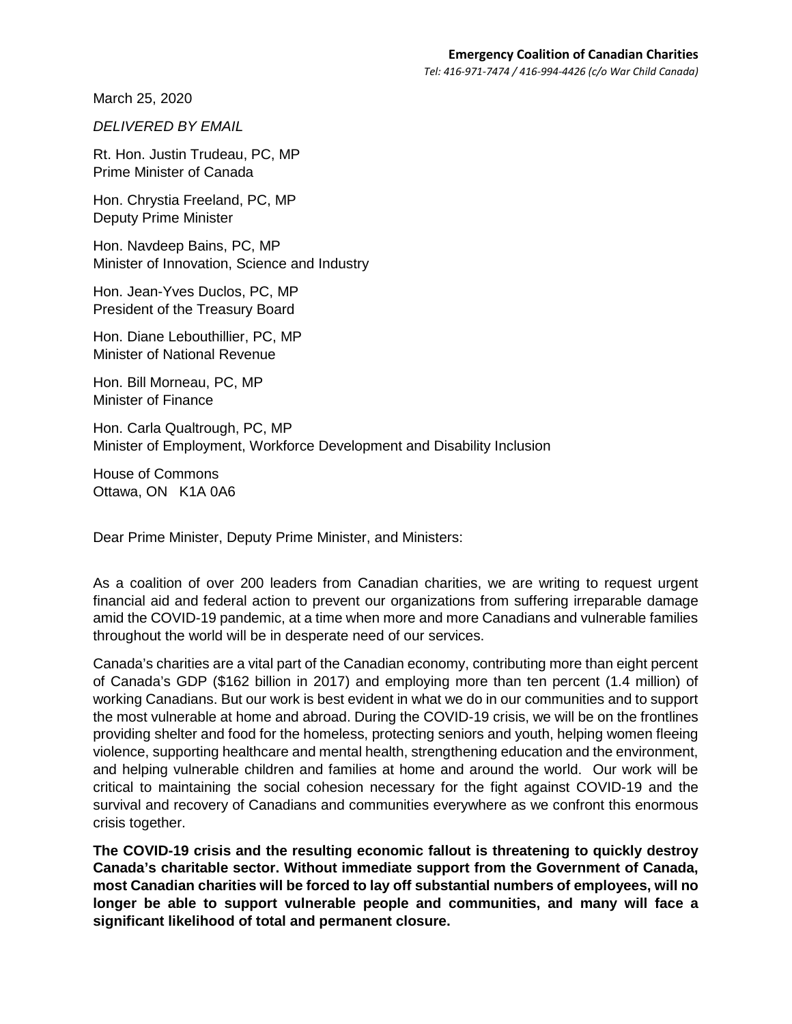March 25, 2020

*DELIVERED BY EMAIL* 

Rt. Hon. Justin Trudeau, PC, MP Prime Minister of Canada

Hon. Chrystia Freeland, PC, MP Deputy Prime Minister

Hon. Navdeep Bains, PC, MP Minister of Innovation, Science and Industry

Hon. Jean-Yves Duclos, PC, MP President of the Treasury Board

Hon. Diane Lebouthillier, PC, MP Minister of National Revenue

Hon. Bill Morneau, PC, MP Minister of Finance

Hon. Carla Qualtrough, PC, MP Minister of Employment, Workforce Development and Disability Inclusion

House of Commons Ottawa, ON K1A 0A6

Dear Prime Minister, Deputy Prime Minister, and Ministers:

As a coalition of over 200 leaders from Canadian charities, we are writing to request urgent financial aid and federal action to prevent our organizations from suffering irreparable damage amid the COVID-19 pandemic, at a time when more and more Canadians and vulnerable families throughout the world will be in desperate need of our services.

Canada's charities are a vital part of the Canadian economy, contributing more than eight percent of Canada's GDP (\$162 billion in 2017) and employing more than ten percent (1.4 million) of working Canadians. But our work is best evident in what we do in our communities and to support the most vulnerable at home and abroad. During the COVID-19 crisis, we will be on the frontlines providing shelter and food for the homeless, protecting seniors and youth, helping women fleeing violence, supporting healthcare and mental health, strengthening education and the environment, and helping vulnerable children and families at home and around the world. Our work will be critical to maintaining the social cohesion necessary for the fight against COVID-19 and the survival and recovery of Canadians and communities everywhere as we confront this enormous crisis together.

**The COVID-19 crisis and the resulting economic fallout is threatening to quickly destroy Canada's charitable sector. Without immediate support from the Government of Canada, most Canadian charities will be forced to lay off substantial numbers of employees, will no longer be able to support vulnerable people and communities, and many will face a significant likelihood of total and permanent closure.**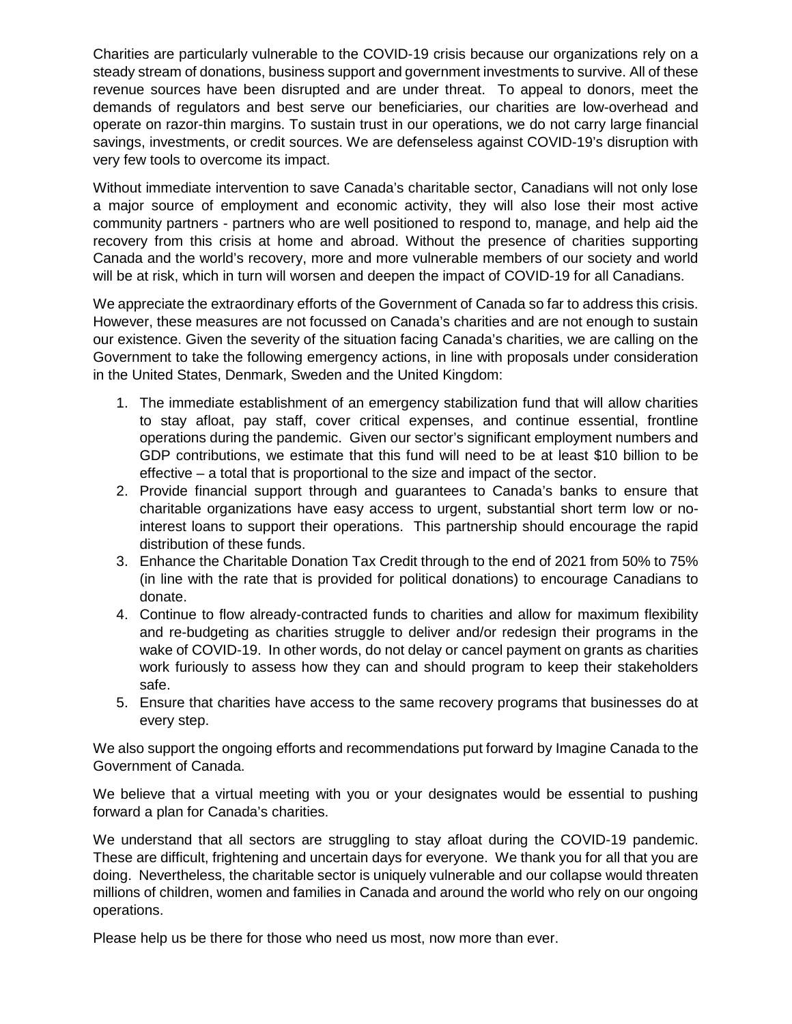Charities are particularly vulnerable to the COVID-19 crisis because our organizations rely on a steady stream of donations, business support and government investments to survive. All of these revenue sources have been disrupted and are under threat. To appeal to donors, meet the demands of regulators and best serve our beneficiaries, our charities are low-overhead and operate on razor-thin margins. To sustain trust in our operations, we do not carry large financial savings, investments, or credit sources. We are defenseless against COVID-19's disruption with very few tools to overcome its impact.

Without immediate intervention to save Canada's charitable sector, Canadians will not only lose a major source of employment and economic activity, they will also lose their most active community partners - partners who are well positioned to respond to, manage, and help aid the recovery from this crisis at home and abroad. Without the presence of charities supporting Canada and the world's recovery, more and more vulnerable members of our society and world will be at risk, which in turn will worsen and deepen the impact of COVID-19 for all Canadians.

We appreciate the extraordinary efforts of the Government of Canada so far to address this crisis. However, these measures are not focussed on Canada's charities and are not enough to sustain our existence. Given the severity of the situation facing Canada's charities, we are calling on the Government to take the following emergency actions, in line with proposals under consideration in the United States, Denmark, Sweden and the United Kingdom:

- 1. The immediate establishment of an emergency stabilization fund that will allow charities to stay afloat, pay staff, cover critical expenses, and continue essential, frontline operations during the pandemic. Given our sector's significant employment numbers and GDP contributions, we estimate that this fund will need to be at least \$10 billion to be effective – a total that is proportional to the size and impact of the sector.
- 2. Provide financial support through and guarantees to Canada's banks to ensure that charitable organizations have easy access to urgent, substantial short term low or nointerest loans to support their operations. This partnership should encourage the rapid distribution of these funds.
- 3. Enhance the Charitable Donation Tax Credit through to the end of 2021 from 50% to 75% (in line with the rate that is provided for political donations) to encourage Canadians to donate.
- 4. Continue to flow already-contracted funds to charities and allow for maximum flexibility and re-budgeting as charities struggle to deliver and/or redesign their programs in the wake of COVID-19. In other words, do not delay or cancel payment on grants as charities work furiously to assess how they can and should program to keep their stakeholders safe.
- 5. Ensure that charities have access to the same recovery programs that businesses do at every step.

We also support the ongoing efforts and recommendations put forward by Imagine Canada to the Government of Canada.

We believe that a virtual meeting with you or your designates would be essential to pushing forward a plan for Canada's charities.

We understand that all sectors are struggling to stay afloat during the COVID-19 pandemic. These are difficult, frightening and uncertain days for everyone. We thank you for all that you are doing. Nevertheless, the charitable sector is uniquely vulnerable and our collapse would threaten millions of children, women and families in Canada and around the world who rely on our ongoing operations.

Please help us be there for those who need us most, now more than ever.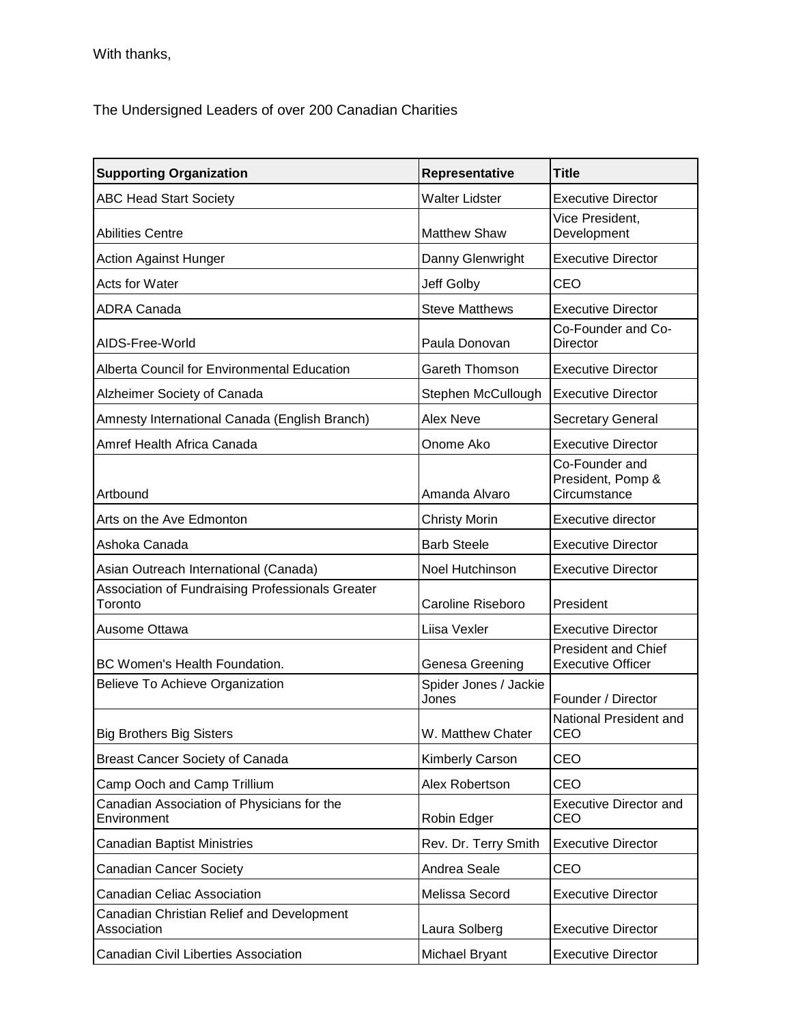With thanks,

The Undersigned Leaders of over 200 Canadian Charities

| <b>Supporting Organization</b>                              | Representative                 | <b>Title</b>                                           |
|-------------------------------------------------------------|--------------------------------|--------------------------------------------------------|
| <b>ABC Head Start Society</b>                               | <b>Walter Lidster</b>          | <b>Executive Director</b>                              |
| <b>Abilities Centre</b>                                     | <b>Matthew Shaw</b>            | Vice President,<br>Development                         |
| <b>Action Against Hunger</b>                                | Danny Glenwright               | <b>Executive Director</b>                              |
| <b>Acts for Water</b>                                       | Jeff Golby                     | CEO                                                    |
| <b>ADRA Canada</b>                                          | <b>Steve Matthews</b>          | <b>Executive Director</b>                              |
| AIDS-Free-World                                             | Paula Donovan                  | Co-Founder and Co-<br><b>Director</b>                  |
| Alberta Council for Environmental Education                 | Gareth Thomson                 | <b>Executive Director</b>                              |
| Alzheimer Society of Canada                                 | Stephen McCullough             | <b>Executive Director</b>                              |
| Amnesty International Canada (English Branch)               | Alex Neve                      | Secretary General                                      |
| Amref Health Africa Canada                                  | Onome Ako                      | <b>Executive Director</b>                              |
| Artbound                                                    | Amanda Alvaro                  | Co-Founder and<br>President, Pomp &<br>Circumstance    |
| Arts on the Ave Edmonton                                    | <b>Christy Morin</b>           | Executive director                                     |
| Ashoka Canada                                               | <b>Barb Steele</b>             | <b>Executive Director</b>                              |
| Asian Outreach International (Canada)                       | Noel Hutchinson                | <b>Executive Director</b>                              |
| Association of Fundraising Professionals Greater<br>Toronto | Caroline Riseboro              | President                                              |
| Ausome Ottawa                                               | Liisa Vexler                   | <b>Executive Director</b>                              |
| BC Women's Health Foundation.                               | Genesa Greening                | <b>President and Chief</b><br><b>Executive Officer</b> |
| Believe To Achieve Organization                             | Spider Jones / Jackie<br>Jones | Founder / Director                                     |
| <b>Big Brothers Big Sisters</b>                             | W. Matthew Chater              | National President and<br>CEO                          |
| <b>Breast Cancer Society of Canada</b>                      | Kimberly Carson                | CEO                                                    |
| Camp Ooch and Camp Trillium                                 | Alex Robertson                 | CEO                                                    |
| Canadian Association of Physicians for the<br>Environment   | Robin Edger                    | <b>Executive Director and</b><br>CEO                   |
| <b>Canadian Baptist Ministries</b>                          | Rev. Dr. Terry Smith           | <b>Executive Director</b>                              |
| <b>Canadian Cancer Society</b>                              | Andrea Seale                   | CEO                                                    |
| <b>Canadian Celiac Association</b>                          | Melissa Secord                 | <b>Executive Director</b>                              |
| Canadian Christian Relief and Development<br>Association    | Laura Solberg                  | <b>Executive Director</b>                              |
| Canadian Civil Liberties Association                        | Michael Bryant                 | <b>Executive Director</b>                              |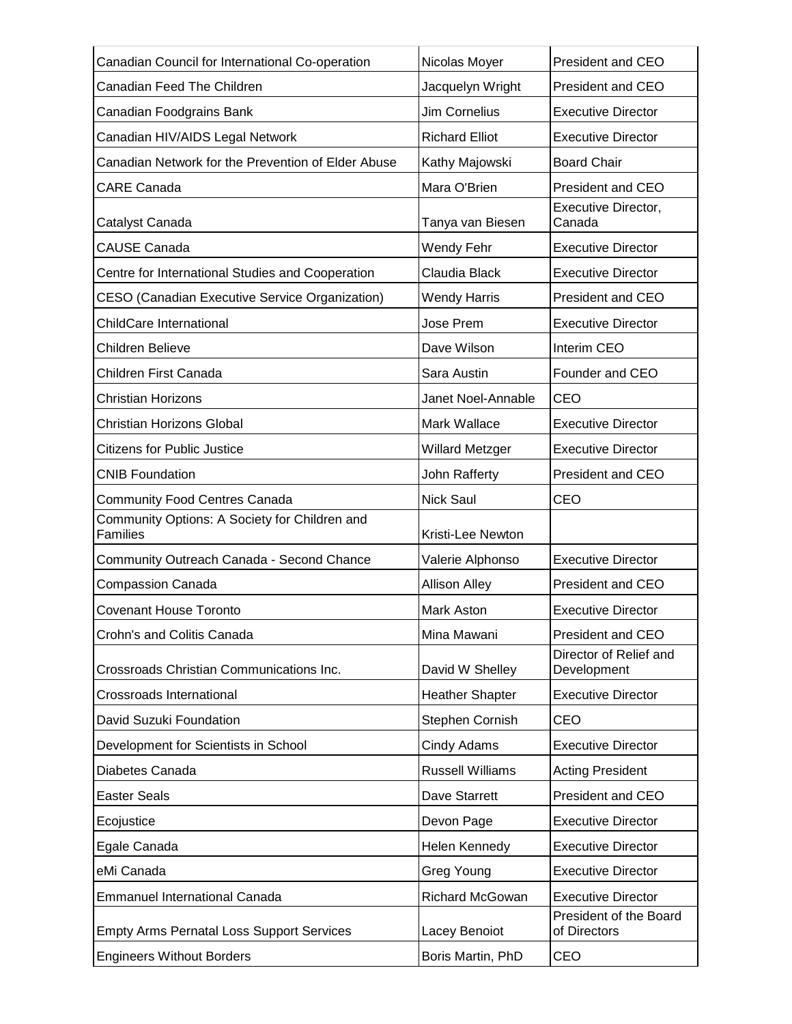| Canadian Council for International Co-operation                  | Nicolas Moyer           | President and CEO                      |
|------------------------------------------------------------------|-------------------------|----------------------------------------|
| Canadian Feed The Children                                       | Jacquelyn Wright        | <b>President and CEO</b>               |
| Canadian Foodgrains Bank                                         | <b>Jim Cornelius</b>    | <b>Executive Director</b>              |
| Canadian HIV/AIDS Legal Network                                  | <b>Richard Elliot</b>   | <b>Executive Director</b>              |
| Canadian Network for the Prevention of Elder Abuse               | Kathy Majowski          | <b>Board Chair</b>                     |
| <b>CARE Canada</b>                                               | Mara O'Brien            | <b>President and CEO</b>               |
| Catalyst Canada                                                  | Tanya van Biesen        | Executive Director,<br>Canada          |
| <b>CAUSE Canada</b>                                              | Wendy Fehr              | <b>Executive Director</b>              |
| Centre for International Studies and Cooperation                 | Claudia Black           | <b>Executive Director</b>              |
| CESO (Canadian Executive Service Organization)                   | <b>Wendy Harris</b>     | <b>President and CEO</b>               |
| <b>ChildCare International</b>                                   | Jose Prem               | <b>Executive Director</b>              |
| <b>Children Believe</b>                                          | Dave Wilson             | Interim CEO                            |
| Children First Canada                                            | Sara Austin             | Founder and CEO                        |
| <b>Christian Horizons</b>                                        | Janet Noel-Annable      | <b>CEO</b>                             |
| <b>Christian Horizons Global</b>                                 | Mark Wallace            | <b>Executive Director</b>              |
| <b>Citizens for Public Justice</b>                               | <b>Willard Metzger</b>  | <b>Executive Director</b>              |
| <b>CNIB Foundation</b>                                           | John Rafferty           | President and CEO                      |
| <b>Community Food Centres Canada</b>                             | <b>Nick Saul</b>        | CEO                                    |
| Community Options: A Society for Children and<br><b>Families</b> | Kristi-Lee Newton       |                                        |
| Community Outreach Canada - Second Chance                        | Valerie Alphonso        | <b>Executive Director</b>              |
| <b>Compassion Canada</b>                                         | <b>Allison Alley</b>    | President and CEO                      |
| <b>Covenant House Toronto</b>                                    | <b>Mark Aston</b>       | <b>Executive Director</b>              |
| Crohn's and Colitis Canada                                       | Mina Mawani             | President and CEO                      |
| Crossroads Christian Communications Inc.                         | David W Shelley         | Director of Relief and<br>Development  |
| Crossroads International                                         | <b>Heather Shapter</b>  | <b>Executive Director</b>              |
| David Suzuki Foundation                                          | Stephen Cornish         | CEO                                    |
| Development for Scientists in School                             | Cindy Adams             | <b>Executive Director</b>              |
| Diabetes Canada                                                  | <b>Russell Williams</b> | <b>Acting President</b>                |
| <b>Easter Seals</b>                                              | Dave Starrett           | President and CEO                      |
| Ecojustice                                                       | Devon Page              | <b>Executive Director</b>              |
| Egale Canada                                                     | Helen Kennedy           | <b>Executive Director</b>              |
| eMi Canada                                                       | Greg Young              | <b>Executive Director</b>              |
| <b>Emmanuel International Canada</b>                             | Richard McGowan         | <b>Executive Director</b>              |
| <b>Empty Arms Pernatal Loss Support Services</b>                 | Lacey Benoiot           | President of the Board<br>of Directors |
| <b>Engineers Without Borders</b>                                 | Boris Martin, PhD       | <b>CEO</b>                             |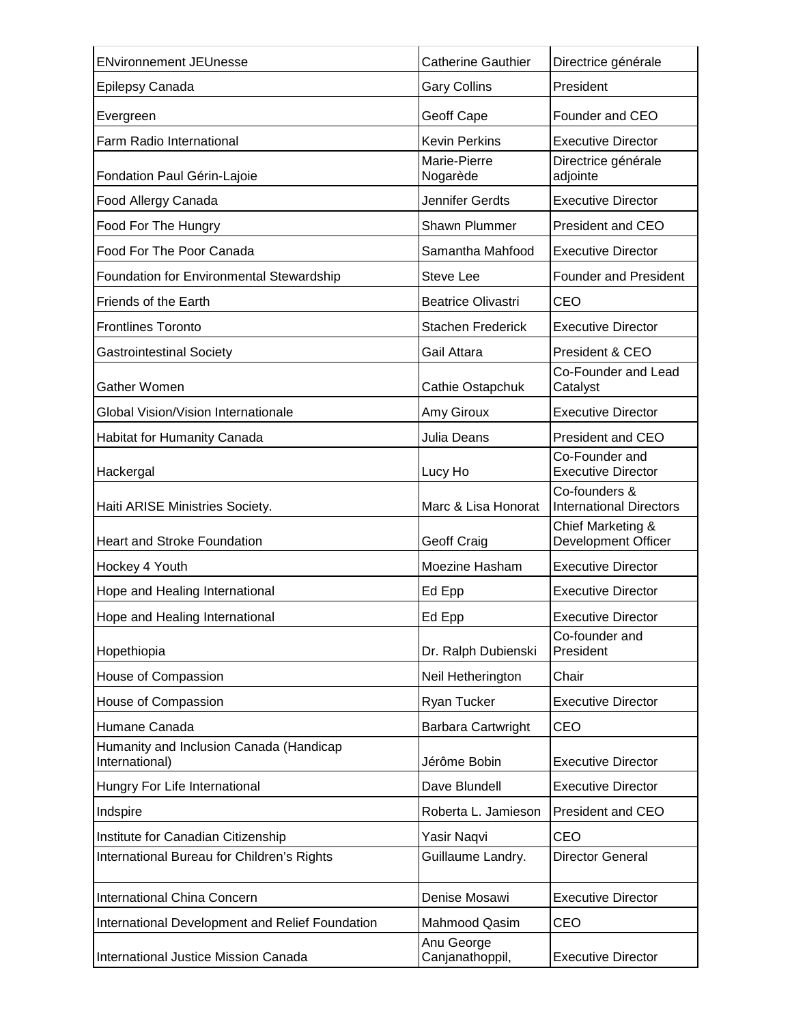| <b>ENvironnement JEUnesse</b>                             | <b>Catherine Gauthier</b>     | Directrice générale                             |
|-----------------------------------------------------------|-------------------------------|-------------------------------------------------|
| Epilepsy Canada                                           | <b>Gary Collins</b>           | President                                       |
| Evergreen                                                 | Geoff Cape                    | Founder and CEO                                 |
| Farm Radio International                                  | <b>Kevin Perkins</b>          | <b>Executive Director</b>                       |
| Fondation Paul Gérin-Lajoie                               | Marie-Pierre<br>Nogarède      | Directrice générale<br>adjointe                 |
| Food Allergy Canada                                       | Jennifer Gerdts               | <b>Executive Director</b>                       |
| Food For The Hungry                                       | Shawn Plummer                 | President and CEO                               |
| Food For The Poor Canada                                  | Samantha Mahfood              | <b>Executive Director</b>                       |
| Foundation for Environmental Stewardship                  | Steve Lee                     | <b>Founder and President</b>                    |
| Friends of the Earth                                      | <b>Beatrice Olivastri</b>     | CEO                                             |
| <b>Frontlines Toronto</b>                                 | <b>Stachen Frederick</b>      | <b>Executive Director</b>                       |
| <b>Gastrointestinal Society</b>                           | Gail Attara                   | President & CEO                                 |
| Gather Women                                              | Cathie Ostapchuk              | Co-Founder and Lead<br>Catalyst                 |
| Global Vision/Vision Internationale                       | Amy Giroux                    | <b>Executive Director</b>                       |
| Habitat for Humanity Canada                               | Julia Deans                   | <b>President and CEO</b>                        |
| Hackergal                                                 | Lucy Ho                       | Co-Founder and<br><b>Executive Director</b>     |
| Haiti ARISE Ministries Society.                           | Marc & Lisa Honorat           | Co-founders &<br><b>International Directors</b> |
| <b>Heart and Stroke Foundation</b>                        | Geoff Craig                   | Chief Marketing &<br><b>Development Officer</b> |
| Hockey 4 Youth                                            | Moezine Hasham                | <b>Executive Director</b>                       |
| Hope and Healing International                            | Ed Epp                        | <b>Executive Director</b>                       |
| Hope and Healing International                            | Ed Epp                        | <b>Executive Director</b>                       |
| Hopethiopia                                               | Dr. Ralph Dubienski           | Co-founder and<br>President                     |
| House of Compassion                                       | Neil Hetherington             | Chair                                           |
| House of Compassion                                       | Ryan Tucker                   | <b>Executive Director</b>                       |
| Humane Canada                                             | Barbara Cartwright            | CEO                                             |
| Humanity and Inclusion Canada (Handicap<br>International) | Jérôme Bobin                  | <b>Executive Director</b>                       |
| Hungry For Life International                             | Dave Blundell                 | <b>Executive Director</b>                       |
| Indspire                                                  | Roberta L. Jamieson           | President and CEO                               |
| Institute for Canadian Citizenship                        | Yasir Naqvi                   | CEO                                             |
| International Bureau for Children's Rights                | Guillaume Landry.             | <b>Director General</b>                         |
| International China Concern                               | Denise Mosawi                 | <b>Executive Director</b>                       |
| International Development and Relief Foundation           | Mahmood Qasim                 | CEO                                             |
| International Justice Mission Canada                      | Anu George<br>Canjanathoppil, | <b>Executive Director</b>                       |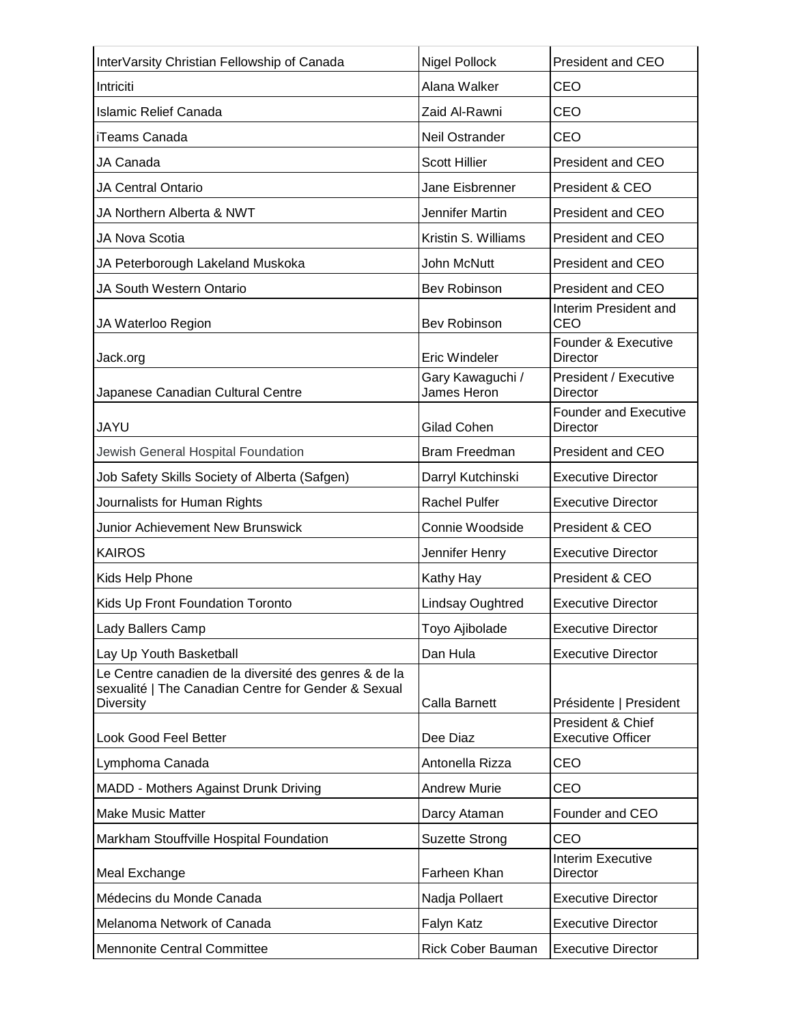| InterVarsity Christian Fellowship of Canada                                                                               | Nigel Pollock                   | <b>President and CEO</b>                        |
|---------------------------------------------------------------------------------------------------------------------------|---------------------------------|-------------------------------------------------|
| Intriciti                                                                                                                 | Alana Walker                    | CEO                                             |
| <b>Islamic Relief Canada</b>                                                                                              | Zaid Al-Rawni                   | CEO                                             |
| iTeams Canada                                                                                                             | Neil Ostrander                  | CEO                                             |
| JA Canada                                                                                                                 | <b>Scott Hillier</b>            | President and CEO                               |
| <b>JA Central Ontario</b>                                                                                                 | Jane Eisbrenner                 | President & CEO                                 |
| JA Northern Alberta & NWT                                                                                                 | Jennifer Martin                 | President and CEO                               |
| JA Nova Scotia                                                                                                            | Kristin S. Williams             | President and CEO                               |
| JA Peterborough Lakeland Muskoka                                                                                          | John McNutt                     | <b>President and CEO</b>                        |
| JA South Western Ontario                                                                                                  | Bev Robinson                    | President and CEO                               |
| JA Waterloo Region                                                                                                        | Bev Robinson                    | Interim President and<br>CEO                    |
| Jack.org                                                                                                                  | <b>Eric Windeler</b>            | Founder & Executive<br>Director                 |
| Japanese Canadian Cultural Centre                                                                                         | Gary Kawaguchi /<br>James Heron | President / Executive<br>Director               |
| JAYU                                                                                                                      | <b>Gilad Cohen</b>              | <b>Founder and Executive</b><br><b>Director</b> |
| Jewish General Hospital Foundation                                                                                        | <b>Bram Freedman</b>            | <b>President and CEO</b>                        |
| Job Safety Skills Society of Alberta (Safgen)                                                                             | Darryl Kutchinski               | <b>Executive Director</b>                       |
| Journalists for Human Rights                                                                                              | <b>Rachel Pulfer</b>            | <b>Executive Director</b>                       |
| <b>Junior Achievement New Brunswick</b>                                                                                   | Connie Woodside                 | President & CEO                                 |
| <b>KAIROS</b>                                                                                                             | Jennifer Henry                  | <b>Executive Director</b>                       |
| Kids Help Phone                                                                                                           | Kathy Hay                       | President & CEO                                 |
| Kids Up Front Foundation Toronto                                                                                          | Lindsay Oughtred                | <b>Executive Director</b>                       |
| Lady Ballers Camp                                                                                                         | Toyo Ajibolade                  | <b>Executive Director</b>                       |
| Lay Up Youth Basketball                                                                                                   | Dan Hula                        | <b>Executive Director</b>                       |
| Le Centre canadien de la diversité des genres & de la<br>sexualité   The Canadian Centre for Gender & Sexual<br>Diversity | Calla Barnett                   | Présidente   President                          |
| Look Good Feel Better                                                                                                     | Dee Diaz                        | President & Chief<br><b>Executive Officer</b>   |
| Lymphoma Canada                                                                                                           | Antonella Rizza                 | <b>CEO</b>                                      |
| MADD - Mothers Against Drunk Driving                                                                                      | <b>Andrew Murie</b>             | CEO                                             |
| <b>Make Music Matter</b>                                                                                                  | Darcy Ataman                    | Founder and CEO                                 |
| Markham Stouffville Hospital Foundation                                                                                   | <b>Suzette Strong</b>           | <b>CEO</b>                                      |
| Meal Exchange                                                                                                             | Farheen Khan                    | Interim Executive<br>Director                   |
| Médecins du Monde Canada                                                                                                  | Nadja Pollaert                  | <b>Executive Director</b>                       |
| Melanoma Network of Canada                                                                                                | Falyn Katz                      | <b>Executive Director</b>                       |
| Mennonite Central Committee                                                                                               | <b>Rick Cober Bauman</b>        | <b>Executive Director</b>                       |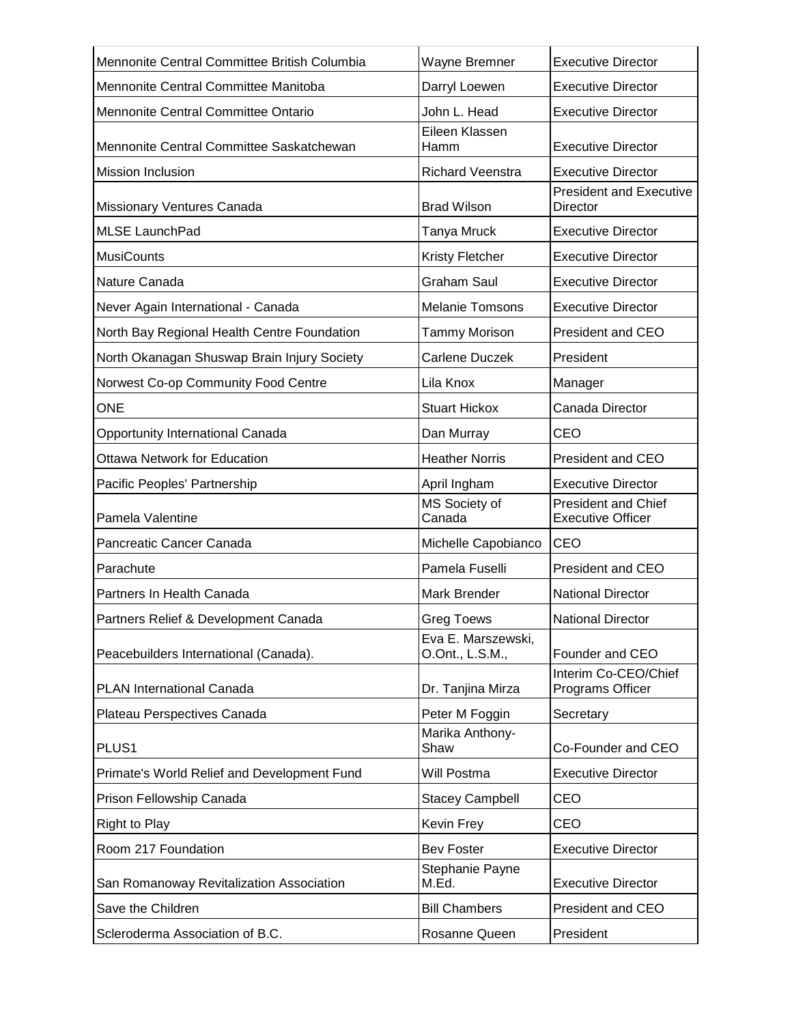| Mennonite Central Committee British Columbia | Wayne Bremner                         | <b>Executive Director</b>                              |
|----------------------------------------------|---------------------------------------|--------------------------------------------------------|
| Mennonite Central Committee Manitoba         | Darryl Loewen                         | <b>Executive Director</b>                              |
| Mennonite Central Committee Ontario          | John L. Head                          | <b>Executive Director</b>                              |
| Mennonite Central Committee Saskatchewan     | Eileen Klassen<br>Hamm                | <b>Executive Director</b>                              |
| <b>Mission Inclusion</b>                     | <b>Richard Veenstra</b>               | <b>Executive Director</b>                              |
| Missionary Ventures Canada                   | <b>Brad Wilson</b>                    | <b>President and Executive</b><br><b>Director</b>      |
| <b>MLSE LaunchPad</b>                        | Tanya Mruck                           | <b>Executive Director</b>                              |
| <b>MusiCounts</b>                            | <b>Kristy Fletcher</b>                | <b>Executive Director</b>                              |
| Nature Canada                                | <b>Graham Saul</b>                    | <b>Executive Director</b>                              |
| Never Again International - Canada           | <b>Melanie Tomsons</b>                | <b>Executive Director</b>                              |
| North Bay Regional Health Centre Foundation  | Tammy Morison                         | President and CEO                                      |
| North Okanagan Shuswap Brain Injury Society  | <b>Carlene Duczek</b>                 | President                                              |
| Norwest Co-op Community Food Centre          | Lila Knox                             | Manager                                                |
| <b>ONE</b>                                   | <b>Stuart Hickox</b>                  | Canada Director                                        |
| Opportunity International Canada             | Dan Murray                            | CEO                                                    |
| <b>Ottawa Network for Education</b>          | <b>Heather Norris</b>                 | <b>President and CEO</b>                               |
| Pacific Peoples' Partnership                 | April Ingham                          | <b>Executive Director</b>                              |
| Pamela Valentine                             | MS Society of<br>Canada               | <b>President and Chief</b><br><b>Executive Officer</b> |
| Pancreatic Cancer Canada                     | Michelle Capobianco                   | <b>CEO</b>                                             |
| Parachute                                    | Pamela Fuselli                        | President and CEO                                      |
| Partners In Health Canada                    | Mark Brender                          | <b>National Director</b>                               |
| Partners Relief & Development Canada         | <b>Greg Toews</b>                     | <b>National Director</b>                               |
| Peacebuilders International (Canada).        | Eva E. Marszewski,<br>O.Ont., L.S.M., | Founder and CEO                                        |
| PLAN International Canada                    | Dr. Tanjina Mirza                     | Interim Co-CEO/Chief<br>Programs Officer               |
| Plateau Perspectives Canada                  | Peter M Foggin                        | Secretary                                              |
| PLUS <sub>1</sub>                            | Marika Anthony-<br>Shaw               | Co-Founder and CEO                                     |
| Primate's World Relief and Development Fund  | Will Postma                           | <b>Executive Director</b>                              |
| Prison Fellowship Canada                     | <b>Stacey Campbell</b>                | CEO                                                    |
| <b>Right to Play</b>                         | Kevin Frey                            | CEO                                                    |
| Room 217 Foundation                          | <b>Bev Foster</b>                     | <b>Executive Director</b>                              |
| San Romanoway Revitalization Association     | Stephanie Payne<br>M.Ed.              | <b>Executive Director</b>                              |
| Save the Children                            | <b>Bill Chambers</b>                  | President and CEO                                      |
| Scleroderma Association of B.C.              | Rosanne Queen                         | President                                              |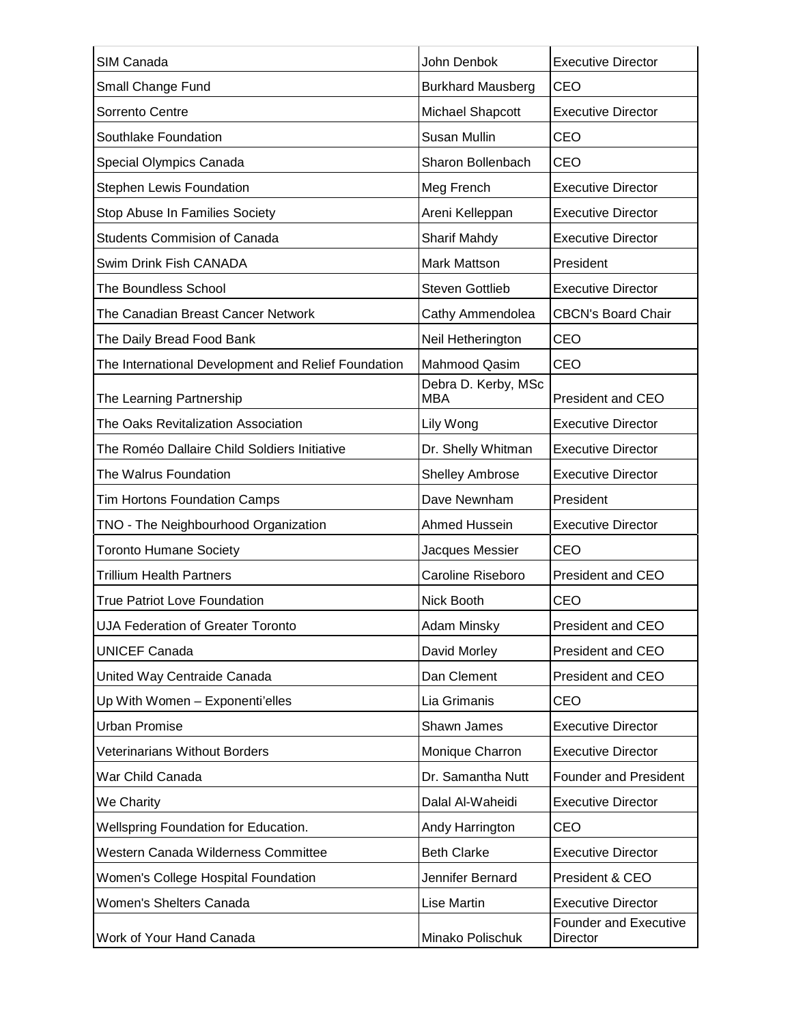| SIM Canada                                          | John Denbok                       | <b>Executive Director</b>                |
|-----------------------------------------------------|-----------------------------------|------------------------------------------|
| Small Change Fund                                   | <b>Burkhard Mausberg</b>          | CEO                                      |
| Sorrento Centre                                     | <b>Michael Shapcott</b>           | <b>Executive Director</b>                |
| Southlake Foundation                                | Susan Mullin                      | CEO                                      |
| Special Olympics Canada                             | Sharon Bollenbach                 | CEO                                      |
| <b>Stephen Lewis Foundation</b>                     | Meg French                        | <b>Executive Director</b>                |
| Stop Abuse In Families Society                      | Areni Kelleppan                   | <b>Executive Director</b>                |
| <b>Students Commision of Canada</b>                 | Sharif Mahdy                      | <b>Executive Director</b>                |
| Swim Drink Fish CANADA                              | Mark Mattson                      | President                                |
| The Boundless School                                | <b>Steven Gottlieb</b>            | <b>Executive Director</b>                |
| The Canadian Breast Cancer Network                  | Cathy Ammendolea                  | <b>CBCN's Board Chair</b>                |
| The Daily Bread Food Bank                           | Neil Hetherington                 | CEO                                      |
| The International Development and Relief Foundation | <b>Mahmood Qasim</b>              | CEO                                      |
| The Learning Partnership                            | Debra D. Kerby, MSc<br><b>MBA</b> | President and CEO                        |
| The Oaks Revitalization Association                 | Lily Wong                         | <b>Executive Director</b>                |
| The Roméo Dallaire Child Soldiers Initiative        | Dr. Shelly Whitman                | <b>Executive Director</b>                |
| The Walrus Foundation                               | <b>Shelley Ambrose</b>            | <b>Executive Director</b>                |
| <b>Tim Hortons Foundation Camps</b>                 | Dave Newnham                      | President                                |
| TNO - The Neighbourhood Organization                | Ahmed Hussein                     | <b>Executive Director</b>                |
| <b>Toronto Humane Society</b>                       | Jacques Messier                   | CEO                                      |
| <b>Trillium Health Partners</b>                     | Caroline Riseboro                 | President and CEO                        |
| <b>True Patriot Love Foundation</b>                 | Nick Booth                        | CEO                                      |
| UJA Federation of Greater Toronto                   | Adam Minsky                       | President and CEO                        |
| <b>UNICEF Canada</b>                                | David Morley                      | President and CEO                        |
| United Way Centraide Canada                         | Dan Clement                       | President and CEO                        |
| Up With Women - Exponenti'elles                     | Lia Grimanis                      | CEO                                      |
| <b>Urban Promise</b>                                | Shawn James                       | <b>Executive Director</b>                |
| <b>Veterinarians Without Borders</b>                | Monique Charron                   | <b>Executive Director</b>                |
| War Child Canada                                    | Dr. Samantha Nutt                 | <b>Founder and President</b>             |
| We Charity                                          | Dalal Al-Waheidi                  | <b>Executive Director</b>                |
| Wellspring Foundation for Education.                | Andy Harrington                   | CEO                                      |
| Western Canada Wilderness Committee                 | <b>Beth Clarke</b>                | <b>Executive Director</b>                |
| Women's College Hospital Foundation                 | Jennifer Bernard                  | President & CEO                          |
| Women's Shelters Canada                             | Lise Martin                       | <b>Executive Director</b>                |
| Work of Your Hand Canada                            | Minako Polischuk                  | <b>Founder and Executive</b><br>Director |